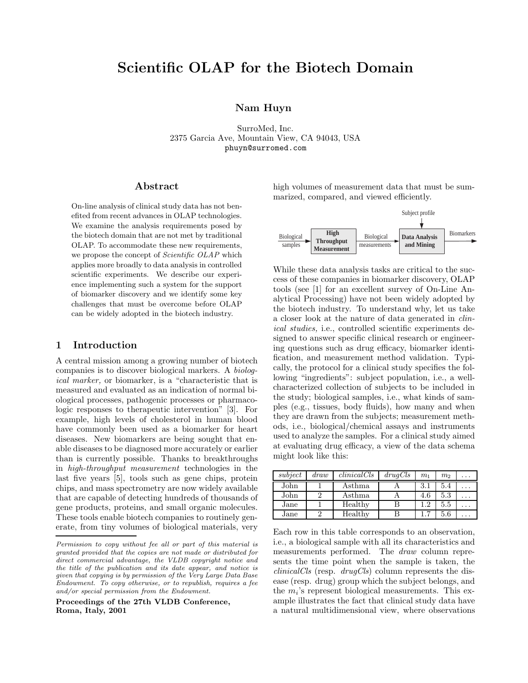# **Scientific OLAP for the Biotech Domain**

# **Nam Huyn**

SurroMed, Inc. 2375 Garcia Ave, Mountain View, CA 94043, USA phuyn@surromed.com

### **Abstract**

On-line analysis of clinical study data has not benefited from recent advances in OLAP technologies. We examine the analysis requirements posed by the biotech domain that are not met by traditional OLAP. To accommodate these new requirements, we propose the concept of *Scientific OLAP* which applies more broadly to data analysis in controlled scientific experiments. We describe our experience implementing such a system for the support of biomarker discovery and we identify some key challenges that must be overcome before OLAP can be widely adopted in the biotech industry.

## **1 Introduction**

A central mission among a growing number of biotech companies is to discover biological markers. A *biological marker*, or biomarker, is a "characteristic that is measured and evaluated as an indication of normal biological processes, pathogenic processes or pharmacologic responses to therapeutic intervention" [3]. For example, high levels of cholesterol in human blood have commonly been used as a biomarker for heart diseases. New biomarkers are being sought that enable diseases to be diagnosed more accurately or earlier than is currently possible. Thanks to breakthroughs in *high-throughput measurement* technologies in the last five years [5], tools such as gene chips, protein chips, and mass spectrometry are now widely available that are capable of detecting hundreds of thousands of gene products, proteins, and small organic molecules. These tools enable biotech companies to routinely generate, from tiny volumes of biological materials, very

**Proceedings of the 27th VLDB Conference, Roma, Italy, 2001**

high volumes of measurement data that must be summarized, compared, and viewed efficiently.



While these data analysis tasks are critical to the success of these companies in biomarker discovery, OLAP tools (see [1] for an excellent survey of On-Line Analytical Processing) have not been widely adopted by the biotech industry. To understand why, let us take a closer look at the nature of data generated in *clinical studies,* i.e., controlled scientific experiments designed to answer specific clinical research or engineering questions such as drug efficacy, biomarker identification, and measurement method validation. Typically, the protocol for a clinical study specifies the following "ingredients": subject population, i.e., a wellcharacterized collection of subjects to be included in the study; biological samples, i.e., what kinds of samples (e.g., tissues, body fluids), how many and when they are drawn from the subjects; measurement methods, i.e., biological/chemical assays and instruments used to analyze the samples. For a clinical study aimed at evaluating drug efficacy, a view of the data schema might look like this:

| subject | draw | clini cal Cls | druqCls | $m_1$ | m <sub>2</sub> |   |
|---------|------|---------------|---------|-------|----------------|---|
| John    |      | Asthma        |         | 3.1   | 5.4            |   |
| John    |      | Asthma        |         | 4.6   | 5.3            |   |
| Jane    |      | Healthy       |         | 1.2   | 5.5            | . |
| Jane    |      | Healthy       |         |       | 5.6            | . |

Each row in this table corresponds to an observation, i.e., a biological sample with all its characteristics and measurements performed. The *draw* column represents the time point when the sample is taken, the *clinicalCls* (resp. *drugCls*) column represents the disease (resp. drug) group which the subject belongs, and the *mi*'s represent biological measurements. This example illustrates the fact that clinical study data have a natural multidimensional view, where observations

*Permission to copy without fee all or part of this material is granted provided that the copies are not made or distributed for direct commercial advantage, the VLDB copyright notice and the title of the publication and its date appear, and notice is given that copying is by permission of the Very Large Data Base Endowment. To copy otherwise, or to republish, requires a fee and/or special permission from the Endowment.*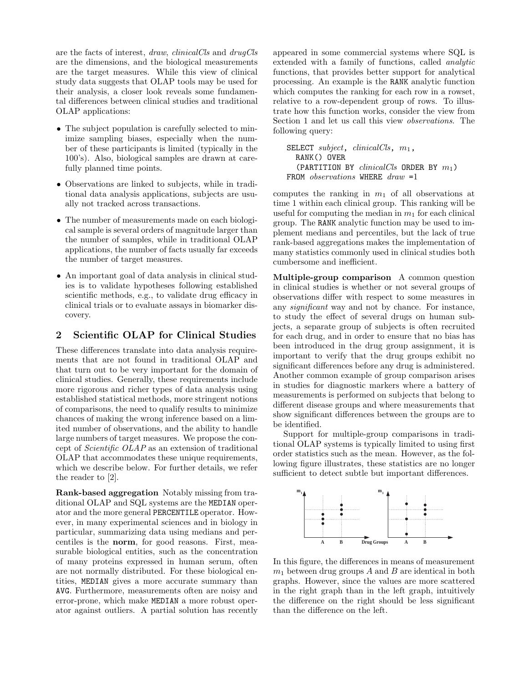are the factsof interest, *draw*, *clinicalCls* and *drugCls* are the dimensions, and the biological measurements are the target measures. While this view of clinical study data suggests that OLAP tools may be used for their analysis, a closer look reveals some fundamental differences between clinical studies and traditional OLAP applications:

- The subject population is carefully selected to minimize sampling biases, especially when the number of these participants is limited (typically in the 100's). Also, biological samples are drawn at carefully planned time points.
- *•* Observations are linked to subjects, while in traditional data analysis applications, subjects are usually not tracked across transactions.
- The number of measurements made on each biological sample is several orders of magnitude larger than the number of samples, while in traditional OLAP applications, the number of facts usually far exceeds the number of target measures.
- An important goal of data analysis in clinical studies is to validate hypotheses following established scientific methods, e.g., to validate drug efficacy in clinical trials or to evaluate assays in biomarker discovery.

# **2 Scientific OLAP for Clinical Studies**

These differences translate into data analysis requirements that are not found in traditional OLAP and that turn out to be very important for the domain of clinical studies. Generally, these requirements include more rigorous and richer types of data analysis using established statistical methods, more stringent notions of comparisons, the need to qualify results to minimize chances of making the wrong inference based on a limited number of observations, and the ability to handle large numbers of target measures. We propose the concept of *Scientific OLAP* asan extension of traditional OLAP that accommodates these unique requirements, which we describe below. For further details, we refer the reader to [2].

**Rank-based aggregation** Notably missing from traditional OLAP and SQL systems are the MEDIAN operator and the more general PERCENTILE operator. However, in many experimental sciences and in biology in particular, summarizing data using medians and percentiles is the **norm**, for good reasons. First, measurable biological entities, such as the concentration of many proteins expressed in human serum, often are not normally distributed. For these biological entities, MEDIAN gives a more accurate summary than AVG. Furthermore, measurements often are noisy and error-prone, which make MEDIAN a more robust operator against outliers. A partial solution has recently

appeared in some commercial systems where SQL is extended with a family of functions, called *analytic* functions, that provides better support for analytical processing. An example is the RANK analytic function which computes the ranking for each row in a rowset, relative to a row-dependent group of rows. To illustrate how this function works, consider the view from Section 1 and let us call this view *observations*. The following query:

```
SELECT subject, clinicalCls, m1,
  RANK() OVER
  (PARTITION BY clinicalCls ORDER BY m1)
FROM observations WHERE draw =1
```
computes the ranking in  $m_1$  of all observations at time 1 within each clinical group. This ranking will be useful for computing the median in *m*<sup>1</sup> for each clinical group. The RANK analytic function may be used to implement mediansand percentiles, but the lack of true rank-based aggregations makes the implementation of many statistics commonly used in clinical studies both cumbersome and inefficient.

**Multiple-group comparison** A common question in clinical studies is whether or not several groups of observations differ with respect to some measures in any *significant* way and not by chance. For instance, to study the effect of several drugs on human subjects, a separate group of subjects is often recruited for each drug, and in order to ensure that no bias has been introduced in the drug group assignment, it is important to verify that the drug groups exhibit no significant differences before any drug is administered. Another common example of group comparison arises in studies for diagnostic markers where a battery of measurements is performed on subjects that belong to different disease groups and where measurements that show significant differences between the groups are to be identified.

Support for multiple-group comparisons in traditional OLAP systems is typically limited to using first order statistics such as the mean. However, as the following figure illustrates, these statistics are no longer sufficient to detect subtle but important differences.



In this figure, the differences in means of measurement *m*<sup>1</sup> between drug groups *A* and *B* are identical in both graphs. However, since the values are more scattered in the right graph than in the left graph, intuitively the difference on the right should be less significant than the difference on the left.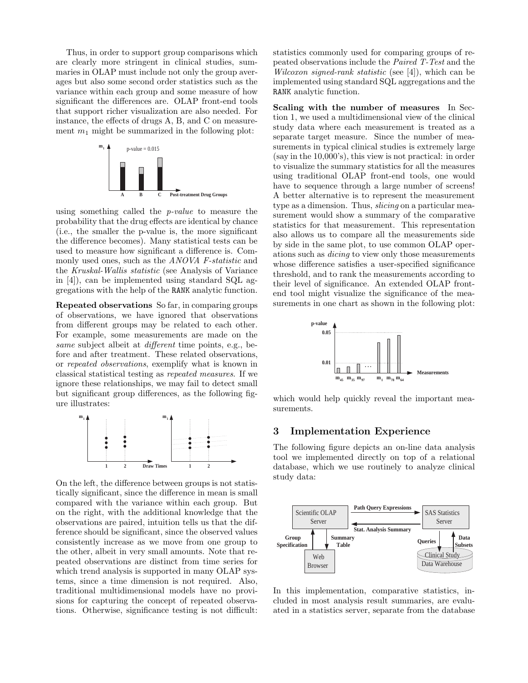Thus, in order to support group comparisons which are clearly more stringent in clinical studies, summaries in OLAP must include not only the group averages but also some second order statistics such as the variance within each group and some measure of how significant the differences are. OLAP front-end tools that support richer visualization are also needed. For instance, the effects of drugs A, B, and C on measurement  $m_1$  might be summarized in the following plot:



using something called the *p-value* to measure the probability that the drug effectsare identical by chance (i.e., the smaller the p-value is, the more significant the difference becomes). Many statistical tests can be used to measure how significant a difference is. Commonly used ones, such as the *ANOVA F-statistic* and the *Kruskal-Wallis statistic* (see Analysis of Variance in [4]), can be implemented using standard SQL aggregationswith the help of the RANK analytic function.

**Repeated observations** So far, in comparing groups of observations, we have ignored that observations from different groups may be related to each other. For example, some measurements are made on the *same* subject albeit at *different* time points, e.g., before and after treatment. These related observations, or *repeated observations*, exemplify what isknown in classical statistical testing as *repeated measures*. If we ignore these relationships, we may fail to detect small but significant group differences, as the following figure illustrates:



On the left, the difference between groups is not statistically significant, since the difference in mean is small compared with the variance within each group. But on the right, with the additional knowledge that the observations are paired, intuition tells us that the difference should be significant, since the observed values consistently increase as we move from one group to the other, albeit in very small amounts. Note that repeated observations are distinct from time series for which trend analysis is supported in many OLAP systems, since a time dimension is not required. Also, traditional multidimensional models have no provisions for capturing the concept of repeated observations. Otherwise, significance testing is not difficult:

statistics commonly used for comparing groups of repeated observations include the *Paired T-Test* and the *Wilcoxon signed-rank statistic* (see [4]), which can be implemented using standard SQL aggregations and the RANK analytic function.

**Scaling with the number of measures** In Section 1, we used a multidimensional view of the clinical study data where each measurement is treated as a separate target measure. Since the number of measurements in typical clinical studies is extremely large (say in the 10,000's), this view is not practical: in order to visualize the summary statistics for all the measures using traditional OLAP front-end tools, one would have to sequence through a large number of screens! A better alternative is to represent the measurement type as a dimension. Thus, *slicing* on a particular measurement would show a summary of the comparative statistics for that measurement. This representation also allows us to compare all the measurements side by side in the same plot, to use common OLAP operationssuch as *dicing* to view only those measurements whose difference satisfies a user-specified significance threshold, and to rank the measurements according to their level of significance. An extended OLAP frontend tool might visualize the significance of the measurements in one chart as shown in the following plot:



which would help quickly reveal the important measurements.

## **3 Implementation Experience**

The following figure depicts an on-line data analysis tool we implemented directly on top of a relational database, which we use routinely to analyze clinical study data:



In this implementation, comparative statistics, included in most analysis result summaries, are evaluated in a statistics server, separate from the database